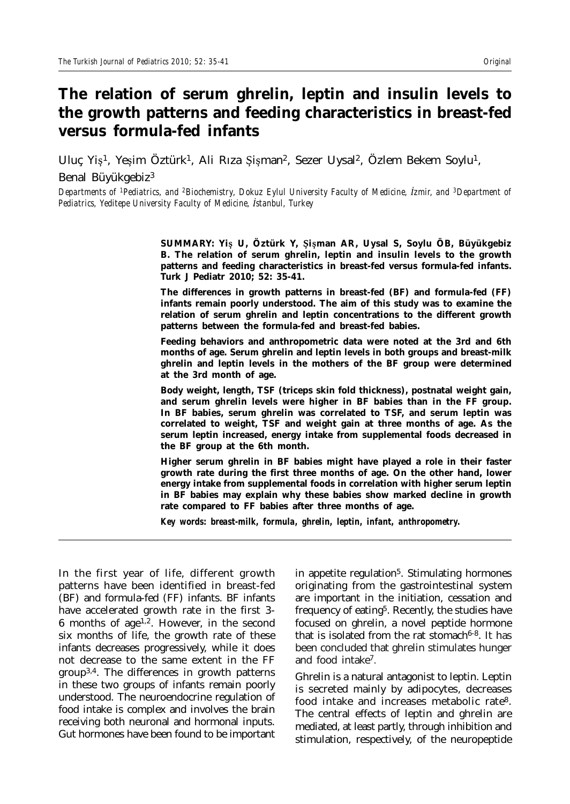# **The relation of serum ghrelin, leptin and insulin levels to the growth patterns and feeding characteristics in breast-fed versus formula-fed infants**

Uluç Yiş<sup>1</sup>, Yeşim Öztürk<sup>1</sup>, Ali Rıza Şişman<sup>2</sup>, Sezer Uysal<sup>2</sup>, Özlem Bekem Soylu<sup>1</sup>, Benal Büyükgebiz3

*Departments of 1Pediatrics, and 2Biochemistry, Dokuz Eylul University Faculty of Medicine, úzmir, and 3Department of Pediatrics, Yeditepe University Faculty of Medicine, ústanbul, Turkey*

> **SUMMARY: Yiü U, Öztürk Y, ûiüman AR, Uysal S, Soylu ÖB, Büyükgebiz B. The relation of serum ghrelin, leptin and insulin levels to the growth patterns and feeding characteristics in breast-fed versus formula-fed infants. Turk J Pediatr 2010; 52: 35-41.**

> **The differences in growth patterns in breast-fed (BF) and formula-fed (FF) infants remain poorly understood. The aim of this study was to examine the relation of serum ghrelin and leptin concentrations to the different growth patterns between the formula-fed and breast-fed babies.**

> **Feeding behaviors and anthropometric data were noted at the 3rd and 6th months of age. Serum ghrelin and leptin levels in both groups and breast-milk ghrelin and leptin levels in the mothers of the BF group were determined at the 3rd month of age.**

> **Body weight, length, TSF (triceps skin fold thickness), postnatal weight gain, and serum ghrelin levels were higher in BF babies than in the FF group. In BF babies, serum ghrelin was correlated to TSF, and serum leptin was correlated to weight, TSF and weight gain at three months of age. As the serum leptin increased, energy intake from supplemental foods decreased in the BF group at the 6th month.**

> **Higher serum ghrelin in BF babies might have played a role in their faster growth rate during the first three months of age. On the other hand, lower energy intake from supplemental foods in correlation with higher serum leptin in BF babies may explain why these babies show marked decline in growth rate compared to FF babies after three months of age.**

*Key words: breast-milk, formula, ghrelin, leptin, infant, anthropometry.*

In the first year of life, different growth patterns have been identified in breast-fed (BF) and formula-fed (FF) infants. BF infants have accelerated growth rate in the first 3- 6 months of age<sup>1,2</sup>. However, in the second six months of life, the growth rate of these infants decreases progressively, while it does not decrease to the same extent in the FF group3,4. The differences in growth patterns in these two groups of infants remain poorly understood. The neuroendocrine regulation of food intake is complex and involves the brain receiving both neuronal and hormonal inputs. Gut hormones have been found to be important

in appetite regulation<sup>5</sup>. Stimulating hormones originating from the gastrointestinal system are important in the initiation, cessation and frequency of eating<sup>5</sup>. Recently, the studies have focused on ghrelin, a novel peptide hormone that is isolated from the rat stomach $6-8$ . It has been concluded that ghrelin stimulates hunger and food intake7.

Ghrelin is a natural antagonist to leptin. Leptin is secreted mainly by adipocytes, decreases food intake and increases metabolic rate8. The central effects of leptin and ghrelin are mediated, at least partly, through inhibition and stimulation, respectively, of the neuropeptide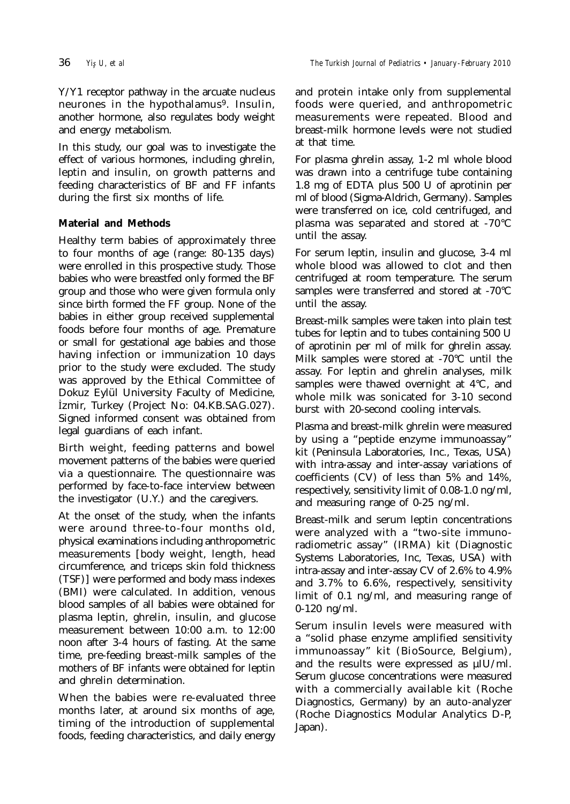Y/Y1 receptor pathway in the arcuate nucleus neurones in the hypothalamus<sup>9</sup>. Insulin, another hormone, also regulates body weight and energy metabolism.

In this study, our goal was to investigate the effect of various hormones, including ghrelin, leptin and insulin, on growth patterns and feeding characteristics of BF and FF infants during the first six months of life.

## **Material and Methods**

Healthy term babies of approximately three to four months of age (range: 80-135 days) were enrolled in this prospective study. Those babies who were breastfed only formed the BF group and those who were given formula only since birth formed the FF group. None of the babies in either group received supplemental foods before four months of age. Premature or small for gestational age babies and those having infection or immunization 10 days prior to the study were excluded. The study was approved by the Ethical Committee of Dokuz Eylül University Faculty of Medicine, úzmir, Turkey (Project No: 04.KB.SAG.027). Signed informed consent was obtained from legal guardians of each infant.

Birth weight, feeding patterns and bowel movement patterns of the babies were queried via a questionnaire. The questionnaire was performed by face-to-face interview between the investigator (U.Y.) and the caregivers.

At the onset of the study, when the infants were around three-to-four months old, physical examinations including anthropometric measurements [body weight, length, head circumference, and triceps skin fold thickness (TSF)] were performed and body mass indexes (BMI) were calculated. In addition, venous blood samples of all babies were obtained for plasma leptin, ghrelin, insulin, and glucose measurement between 10:00 a.m. to 12:00 noon after 3-4 hours of fasting. At the same time, pre-feeding breast-milk samples of the mothers of BF infants were obtained for leptin and ghrelin determination.

When the babies were re-evaluated three months later, at around six months of age, timing of the introduction of supplemental foods, feeding characteristics, and daily energy

and protein intake only from supplemental foods were queried, and anthropometric measurements were repeated. Blood and breast-milk hormone levels were not studied at that time.

For plasma ghrelin assay, 1-2 ml whole blood was drawn into a centrifuge tube containing 1.8 mg of EDTA plus 500 U of aprotinin per ml of blood (Sigma-Aldrich, Germany). Samples were transferred on ice, cold centrifuged, and plasma was separated and stored at -70°C until the assay.

For serum leptin, insulin and glucose, 3-4 ml whole blood was allowed to clot and then centrifuged at room temperature. The serum samples were transferred and stored at -70°C until the assay.

Breast-milk samples were taken into plain test tubes for leptin and to tubes containing 500 U of aprotinin per ml of milk for ghrelin assay. Milk samples were stored at -70°C until the assay. For leptin and ghrelin analyses, milk samples were thawed overnight at 4°C, and whole milk was sonicated for 3-10 second burst with 20-second cooling intervals.

Plasma and breast-milk ghrelin were measured by using a "peptide enzyme immunoassay" kit (Peninsula Laboratories, Inc., Texas, USA) with intra-assay and inter-assay variations of coefficients (CV) of less than 5% and 14%, respectively, sensitivity limit of 0.08-1.0 ng/ml, and measuring range of 0-25 ng/ml.

Breast-milk and serum leptin concentrations were analyzed with a "two-site immunoradiometric assay" (IRMA) kit (Diagnostic Systems Laboratories, Inc, Texas, USA) with intra-assay and inter-assay CV of 2.6% to 4.9% and 3.7% to 6.6%, respectively, sensitivity limit of 0.1 ng/ml, and measuring range of 0-120 ng/ml.

Serum insulin levels were measured with a "solid phase enzyme amplified sensitivity immunoassay" kit (BioSource, Belgium), and the results were expressed as µIU/ml. Serum glucose concentrations were measured with a commercially available kit (Roche Diagnostics, Germany) by an auto-analyzer (Roche Diagnostics Modular Analytics D-P, Japan).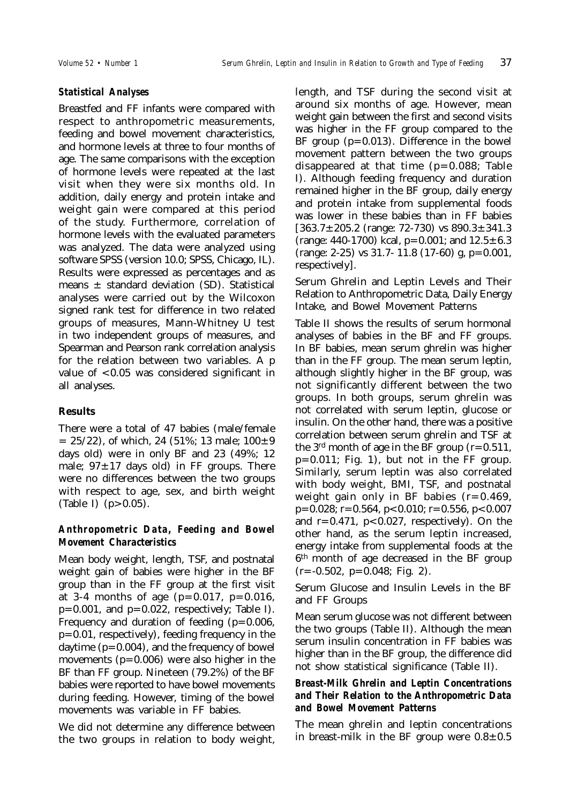#### *Statistical Analyses*

Breastfed and FF infants were compared with respect to anthropometric measurements, feeding and bowel movement characteristics, and hormone levels at three to four months of age. The same comparisons with the exception of hormone levels were repeated at the last visit when they were six months old. In addition, daily energy and protein intake and weight gain were compared at this period of the study. Furthermore, correlation of hormone levels with the evaluated parameters was analyzed. The data were analyzed using software SPSS (version 10.0; SPSS, Chicago, IL). Results were expressed as percentages and as means  $\pm$  standard deviation (SD). Statistical analyses were carried out by the Wilcoxon signed rank test for difference in two related groups of measures, Mann-Whitney U test in two independent groups of measures, and Spearman and Pearson rank correlation analysis for the relation between two variables. A p value of  $< 0.05$  was considered significant in all analyses.

## **Results**

There were a total of 47 babies (male/female  $= 25/22$ , of which, 24 (51%; 13 male;  $100 \pm 9$ days old) were in only BF and 23 (49%; 12 male;  $97 \pm 17$  days old) in FF groups. There were no differences between the two groups with respect to age, sex, and birth weight (Table I)  $(p > 0.05)$ .

#### *Anthropometric Data, Feeding and Bowel Movement Characteristics*

Mean body weight, length, TSF, and postnatal weight gain of babies were higher in the BF group than in the FF group at the first visit at 3-4 months of age ( $p=0.017$ ,  $p=0.016$ ,  $p=0.001$ , and  $p=0.022$ , respectively; Table I). Frequency and duration of feeding  $(p=0.006,$ p=0.01, respectively), feeding frequency in the daytime (p=0.004), and the frequency of bowel movements (p=0.006) were also higher in the BF than FF group. Nineteen (79.2%) of the BF babies were reported to have bowel movements during feeding. However, timing of the bowel movements was variable in FF babies.

We did not determine any difference between the two groups in relation to body weight,

length, and TSF during the second visit at around six months of age. However, mean weight gain between the first and second visits was higher in the FF group compared to the BF group  $(p=0.013)$ . Difference in the bowel movement pattern between the two groups disappeared at that time  $(p=0.088;$  Table I). Although feeding frequency and duration remained higher in the BF group, daily energy and protein intake from supplemental foods was lower in these babies than in FF babies  $[363.7 \pm 205.2$  (range: 72-730) vs  $890.3 \pm 341.3$ (range: 440-1700) kcal,  $p=0.001$ ; and  $12.5 \pm 6.3$  $(range: 2-25)$  vs 31.7-11.8 (17-60) g, p=0.001, respectively].

Serum Ghrelin and Leptin Levels and Their Relation to Anthropometric Data, Daily Energy Intake, and Bowel Movement Patterns

Table II shows the results of serum hormonal analyses of babies in the BF and FF groups. In BF babies, mean serum ghrelin was higher than in the FF group. The mean serum leptin, although slightly higher in the BF group, was not significantly different between the two groups. In both groups, serum ghrelin was not correlated with serum leptin, glucose or insulin. On the other hand, there was a positive correlation between serum ghrelin and TSF at the 3<sup>rd</sup> month of age in the BF group  $(r=0.511)$ ,  $p=0.011$ ; Fig. 1), but not in the FF group. Similarly, serum leptin was also correlated with body weight, BMI, TSF, and postnatal weight gain only in BF babies  $(r=0.469,$  $p=0.028$ ; r=0.564, p<0.010; r=0.556, p<0.007 and  $r=0.471$ ,  $p<0.027$ , respectively). On the other hand, as the serum leptin increased, energy intake from supplemental foods at the 6th month of age decreased in the BF group  $(r=-0.502, p=0.048; Fig. 2)$ .

Serum Glucose and Insulin Levels in the BF and FF Groups

Mean serum glucose was not different between the two groups (Table II). Although the mean serum insulin concentration in FF babies was higher than in the BF group, the difference did not show statistical significance (Table II).

#### *Breast-Milk Ghrelin and Leptin Concentrations and Their Relation to the Anthropometric Data and Bowel Movement Patterns*

The mean ghrelin and leptin concentrations in breast-milk in the BF group were  $0.8 \pm 0.5$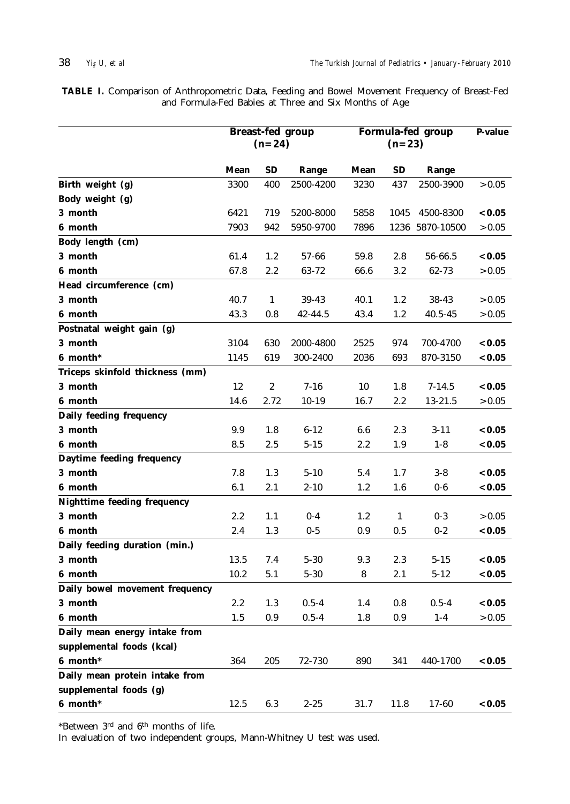**TABLE I.** Comparison of Anthropometric Data, Feeding and Bowel Movement Frequency of Breast-Fed and Formula-Fed Babies at Three and Six Months of Age

|                                 | <b>Breast-fed group</b><br>$(n=24)$ |                  |           | Formula-fed group | P-value      |                 |        |
|---------------------------------|-------------------------------------|------------------|-----------|-------------------|--------------|-----------------|--------|
|                                 | <b>Mean</b>                         | <b>SD</b>        | Range     | Mean              | <b>SD</b>    | Range           |        |
| Birth weight (g)                | 3300                                | 400              | 2500-4200 | 3230              | 437          | 2500-3900       | > 0.05 |
| Body weight (g)                 |                                     |                  |           |                   |              |                 |        |
| 3 month                         | 6421                                | 719              | 5200-8000 | 5858              | 1045         | 4500-8300       | < 0.05 |
| 6 month                         | 7903                                | 942              | 5950-9700 | 7896              |              | 1236 5870-10500 | > 0.05 |
| Body length (cm)                |                                     |                  |           |                   |              |                 |        |
| 3 month                         | 61.4                                | 1.2              | 57-66     | 59.8              | 2.8          | 56-66.5         | < 0.05 |
| 6 month                         | 67.8                                | 2.2              | 63-72     | 66.6              | 3.2          | 62-73           | > 0.05 |
| Head circumference (cm)         |                                     |                  |           |                   |              |                 |        |
| 3 month                         | 40.7                                | $\mathbf{1}$     | 39-43     | 40.1              | 1.2          | 38-43           | > 0.05 |
| 6 month                         | 43.3                                | 0.8              | 42-44.5   | 43.4              | 1.2          | 40.5-45         | > 0.05 |
| Postnatal weight gain (g)       |                                     |                  |           |                   |              |                 |        |
| 3 month                         | 3104                                | 630              | 2000-4800 | 2525              | 974          | 700-4700        | < 0.05 |
| 6 month*                        | 1145                                | 619              | 300-2400  | 2036              | 693          | 870-3150        | < 0.05 |
| Triceps skinfold thickness (mm) |                                     |                  |           |                   |              |                 |        |
| 3 month                         | 12                                  | $\boldsymbol{2}$ | $7 - 16$  | 10                | 1.8          | $7 - 14.5$      | < 0.05 |
| 6 month                         | 14.6                                | 2.72             | $10-19$   | 16.7              | 2.2          | 13-21.5         | > 0.05 |
| Daily feeding frequency         |                                     |                  |           |                   |              |                 |        |
| 3 month                         | 9.9                                 | 1.8              | $6 - 12$  | 6.6               | 2.3          | $3 - 11$        | < 0.05 |
| 6 month                         | 8.5                                 | 2.5              | $5 - 15$  | 2.2               | 1.9          | $1 - 8$         | < 0.05 |
| Daytime feeding frequency       |                                     |                  |           |                   |              |                 |        |
| 3 month                         | 7.8                                 | 1.3              | $5 - 10$  | 5.4               | 1.7          | $3-8$           | < 0.05 |
| 6 month                         | 6.1                                 | 2.1              | $2 - 10$  | 1.2               | 1.6          | $0-6$           | < 0.05 |
| Nighttime feeding frequency     |                                     |                  |           |                   |              |                 |        |
| 3 month                         | 2.2                                 | 1.1              | $0-4$     | 1.2               | $\mathbf{1}$ | $0-3$           | > 0.05 |
| 6 month                         | 2.4                                 | 1.3              | $0-5$     | 0.9               | 0.5          | $0-2$           | < 0.05 |
| Daily feeding duration (min.)   |                                     |                  |           |                   |              |                 |        |
| 3 month                         | 13.5                                | 7.4              | $5 - 30$  | 9.3               | 2.3          | $5 - 15$        | < 0.05 |
| 6 month                         | 10.2                                | 5.1              | $5 - 30$  | 8                 | 2.1          | $5 - 12$        | < 0.05 |
| Daily bowel movement frequency  |                                     |                  |           |                   |              |                 |        |
| 3 month                         | 2.2                                 | 1.3              | $0.5 - 4$ | 1.4               | 0.8          | $0.5 - 4$       | < 0.05 |
| 6 month                         | 1.5                                 | 0.9              | $0.5 - 4$ | 1.8               | 0.9          | $1-4$           | > 0.05 |
| Daily mean energy intake from   |                                     |                  |           |                   |              |                 |        |
| supplemental foods (kcal)       |                                     |                  |           |                   |              |                 |        |
| $6$ month*                      | 364                                 | 205              | 72-730    | 890               | 341          | 440-1700        | < 0.05 |
| Daily mean protein intake from  |                                     |                  |           |                   |              |                 |        |
| supplemental foods (g)          |                                     |                  |           |                   |              |                 |        |
| $6$ month*                      | 12.5                                | 6.3              | $2 - 25$  | 31.7              | 11.8         | 17-60           | < 0.05 |

\*Between 3rd and 6th months of life.

In evaluation of two independent groups, Mann-Whitney U test was used.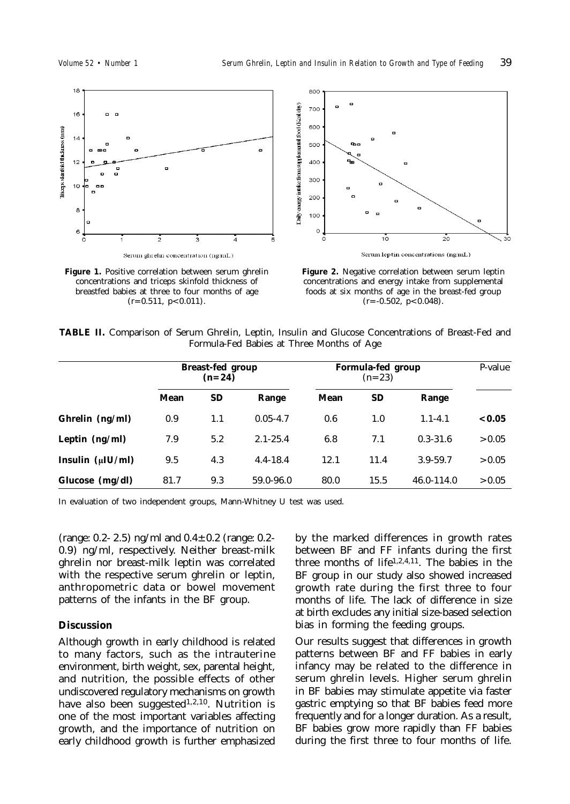

**Figure 1.** Positive correlation between serum ghrelin concentrations and triceps skinfold thickness of breastfed babies at three to four months of age  $(r=0.511, p<0.011).$ 



**Figure 2.** Negative correlation between serum leptin concentrations and energy intake from supplemental foods at six months of age in the breast-fed group  $(r=-0.502, p<0.048)$ .

|                                           |  |  |  |  |  |  |  | TABLE II. Comparison of Serum Ghrelin, Leptin, Insulin and Glucose Concentrations of Breast-Fed and |  |  |  |
|-------------------------------------------|--|--|--|--|--|--|--|-----------------------------------------------------------------------------------------------------|--|--|--|
| Formula-Fed Babies at Three Months of Age |  |  |  |  |  |  |  |                                                                                                     |  |  |  |

|                        |      | <b>Breast-fed group</b><br>$(n=24)$ |              |      | Formula-fed group<br>$(n=23)$ |              |        |  |  |
|------------------------|------|-------------------------------------|--------------|------|-------------------------------|--------------|--------|--|--|
|                        | Mean | <b>SD</b>                           | Range        | Mean | <b>SD</b>                     | Range        |        |  |  |
| Ghrelin $(ng/ml)$      | 0.9  | 1.1                                 | $0.05 - 4.7$ | 0.6  | 1.0                           | $1.1 - 4.1$  | < 0.05 |  |  |
| Leptin $(ng/ml)$       | 7.9  | 5.2                                 | $2.1 - 25.4$ | 6.8  | 7.1                           | $0.3 - 31.6$ | > 0.05 |  |  |
| Insulin $(\mu I U/ml)$ | 9.5  | 4.3                                 | $4.4 - 18.4$ | 12.1 | 11.4                          | $3.9 - 59.7$ | > 0.05 |  |  |
| Glucose $(mg/dl)$      | 81.7 | 9.3                                 | 59.0-96.0    | 80.0 | 15.5                          | 46.0-114.0   | > 0.05 |  |  |

In evaluation of two independent groups, Mann-Whitney U test was used.

(range: 0.2- 2.5) ng/ml and  $0.4 \pm 0.2$  (range: 0.2-0.9) ng/ml, respectively. Neither breast-milk ghrelin nor breast-milk leptin was correlated with the respective serum ghrelin or leptin, anthropometric data or bowel movement patterns of the infants in the BF group.

#### **Discussion**

Although growth in early childhood is related to many factors, such as the intrauterine environment, birth weight, sex, parental height, and nutrition, the possible effects of other undiscovered regulatory mechanisms on growth have also been suggested<sup>1,2,10</sup>. Nutrition is one of the most important variables affecting growth, and the importance of nutrition on early childhood growth is further emphasized

by the marked differences in growth rates between BF and FF infants during the first three months of life1,2,4,11. The babies in the BF group in our study also showed increased growth rate during the first three to four months of life. The lack of difference in size at birth excludes any initial size-based selection bias in forming the feeding groups.

Our results suggest that differences in growth patterns between BF and FF babies in early infancy may be related to the difference in serum ghrelin levels. Higher serum ghrelin in BF babies may stimulate appetite via faster gastric emptying so that BF babies feed more frequently and for a longer duration. As a result, BF babies grow more rapidly than FF babies during the first three to four months of life.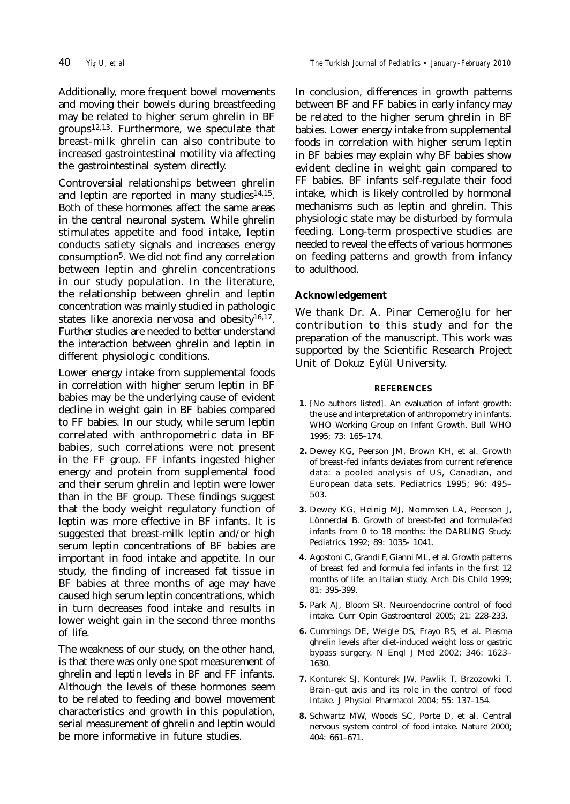Additionally, more frequent bowel movements and moving their bowels during breastfeeding may be related to higher serum ghrelin in BF groups12,13. Furthermore, we speculate that breast-milk ghrelin can also contribute to increased gastrointestinal motility via affecting the gastrointestinal system directly.

Controversial relationships between ghrelin and leptin are reported in many studies $14,15$ . Both of these hormones affect the same areas in the central neuronal system. While ghrelin stimulates appetite and food intake, leptin conducts satiety signals and increases energy consumption5. We did not find any correlation between leptin and ghrelin concentrations in our study population. In the literature, the relationship between ghrelin and leptin concentration was mainly studied in pathologic states like anorexia nervosa and obesity $16,17$ . Further studies are needed to better understand the interaction between ghrelin and leptin in different physiologic conditions.

Lower energy intake from supplemental foods in correlation with higher serum leptin in BF babies may be the underlying cause of evident decline in weight gain in BF babies compared to FF babies. In our study, while serum leptin correlated with anthropometric data in BF babies, such correlations were not present in the FF group. FF infants ingested higher energy and protein from supplemental food and their serum ghrelin and leptin were lower than in the BF group. These findings suggest that the body weight regulatory function of leptin was more effective in BF infants. It is suggested that breast-milk leptin and/or high serum leptin concentrations of BF babies are important in food intake and appetite. In our study, the finding of increased fat tissue in BF babies at three months of age may have caused high serum leptin concentrations, which in turn decreases food intake and results in lower weight gain in the second three months of life.

The weakness of our study, on the other hand, is that there was only one spot measurement of ghrelin and leptin levels in BF and FF infants. Although the levels of these hormones seem to be related to feeding and bowel movement characteristics and growth in this population, serial measurement of ghrelin and leptin would be more informative in future studies.

In conclusion, differences in growth patterns between BF and FF babies in early infancy may be related to the higher serum ghrelin in BF babies. Lower energy intake from supplemental foods in correlation with higher serum leptin in BF babies may explain why BF babies show evident decline in weight gain compared to FF babies. BF infants self-regulate their food intake, which is likely controlled by hormonal mechanisms such as leptin and ghrelin. This physiologic state may be disturbed by formula feeding. Long-term prospective studies are needed to reveal the effects of various hormones on feeding patterns and growth from infancy to adulthood.

#### **Acknowledgement**

We thank Dr. A. Pinar Cemeroğlu for her contribution to this study and for the preparation of the manuscript. This work was supported by the Scientific Research Project Unit of Dokuz Eylül University.

#### **REFERENCES**

- **1.** [No authors listed]. An evaluation of infant growth: the use and interpretation of anthropometry in infants. WHO Working Group on Infant Growth. Bull WHO 1995; 73: 165–174.
- **2.** Dewey KG, Peerson JM, Brown KH, et al. Growth of breast-fed infants deviates from current reference data: a pooled analysis of US, Canadian, and European data sets. Pediatrics 1995; 96: 495– 503.
- **3.** Dewey KG, Heinig MJ, Nommsen LA, Peerson J, Lönnerdal B. Growth of breast-fed and formula-fed infants from 0 to 18 months: the DARLING Study. Pediatrics 1992; 89: 1035- 1041.
- **4.** Agostoni C, Grandi F, Gianni ML, et al. Growth patterns of breast fed and formula fed infants in the first 12 months of life: an Italian study. Arch Dis Child 1999; 81: 395-399.
- **5.** Park AJ, Bloom SR. Neuroendocrine control of food intake. Curr Opin Gastroenterol 2005; 21: 228-233.
- **6.** Cummings DE, Weigle DS, Frayo RS, et al. Plasma ghrelin levels after diet-induced weight loss or gastric bypass surgery. N Engl J Med 2002; 346: 1623– 1630.
- **7.** Konturek SJ, Konturek JW, Pawlik T, Brzozowki T. Brain–gut axis and its role in the control of food intake. J Physiol Pharmacol 2004; 55: 137–154.
- **8.** Schwartz MW, Woods SC, Porte D, et al. Central nervous system control of food intake. Nature 2000; 404: 661–671.